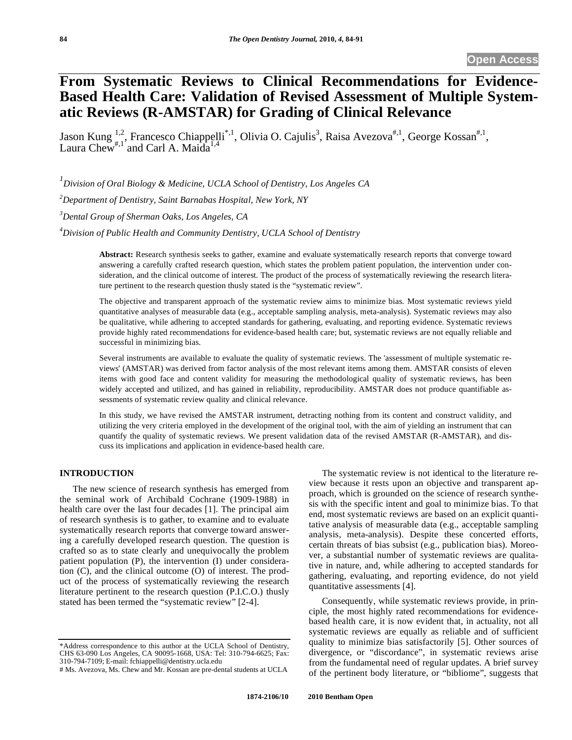# **From Systematic Reviews to Clinical Recommendations for Evidence-Based Health Care: Validation of Revised Assessment of Multiple Systematic Reviews (R-AMSTAR) for Grading of Clinical Relevance**

Jason Kung  $\frac{1}{n}$ , Francesco Chiappelli<sup>\*,1</sup>, Olivia O. Cajulis<sup>3</sup>, Raisa Avezova<sup>#,1</sup>, George Kossan<sup>#,1</sup>, Laura Chew<sup>#,1</sup> and Carl A. Maida<sup>1,4</sup>

 *Division of Oral Biology & Medicine, UCLA School of Dentistry, Los Angeles CA Department of Dentistry, Saint Barnabas Hospital, New York, NY Dental Group of Sherman Oaks, Los Angeles, CA Division of Public Health and Community Dentistry, UCLA School of Dentistry* 

> **Abstract:** Research synthesis seeks to gather, examine and evaluate systematically research reports that converge toward answering a carefully crafted research question, which states the problem patient population, the intervention under consideration, and the clinical outcome of interest. The product of the process of systematically reviewing the research literature pertinent to the research question thusly stated is the "systematic review".

> The objective and transparent approach of the systematic review aims to minimize bias. Most systematic reviews yield quantitative analyses of measurable data (e.g., acceptable sampling analysis, meta-analysis). Systematic reviews may also be qualitative, while adhering to accepted standards for gathering, evaluating, and reporting evidence. Systematic reviews provide highly rated recommendations for evidence-based health care; but, systematic reviews are not equally reliable and successful in minimizing bias.

> Several instruments are available to evaluate the quality of systematic reviews. The 'assessment of multiple systematic reviews' (AMSTAR) was derived from factor analysis of the most relevant items among them. AMSTAR consists of eleven items with good face and content validity for measuring the methodological quality of systematic reviews, has been widely accepted and utilized, and has gained in reliability, reproducibility. AMSTAR does not produce quantifiable assessments of systematic review quality and clinical relevance.

> In this study, we have revised the AMSTAR instrument, detracting nothing from its content and construct validity, and utilizing the very criteria employed in the development of the original tool, with the aim of yielding an instrument that can quantify the quality of systematic reviews. We present validation data of the revised AMSTAR (R-AMSTAR), and discuss its implications and application in evidence-based health care.

### **INTRODUCTION**

The new science of research synthesis has emerged from the seminal work of Archibald Cochrane (1909-1988) in health care over the last four decades [1]. The principal aim of research synthesis is to gather, to examine and to evaluate systematically research reports that converge toward answering a carefully developed research question. The question is crafted so as to state clearly and unequivocally the problem patient population (P), the intervention (I) under consideration (C), and the clinical outcome (O) of interest. The product of the process of systematically reviewing the research literature pertinent to the research question (P.I.C.O.) thusly stated has been termed the "systematic review" [2-4].

The systematic review is not identical to the literature review because it rests upon an objective and transparent approach, which is grounded on the science of research synthesis with the specific intent and goal to minimize bias. To that end, most systematic reviews are based on an explicit quantitative analysis of measurable data (e.g., acceptable sampling analysis, meta-analysis). Despite these concerted efforts, certain threats of bias subsist (e.g., publication bias). Moreover, a substantial number of systematic reviews are qualitative in nature, and, while adhering to accepted standards for gathering, evaluating, and reporting evidence, do not yield quantitative assessments [4].

Consequently, while systematic reviews provide, in principle, the most highly rated recommendations for evidencebased health care, it is now evident that, in actuality, not all systematic reviews are equally as reliable and of sufficient quality to minimize bias satisfactorily [5]. Other sources of divergence, or "discordance", in systematic reviews arise from the fundamental need of regular updates. A brief survey of the pertinent body literature, or "bibliome", suggests that

<sup>\*</sup>Address correspondence to this author at the UCLA School of Dentistry, CHS 63-090 Los Angeles, CA 90095-1668, USA: Tel: 310-794-6625; Fax: 310-794-7109; E-mail: fchiappelli@dentistry.ucla.edu

<sup>#</sup> Ms. Avezova, Ms. Chew and Mr. Kossan are pre-dental students at UCLA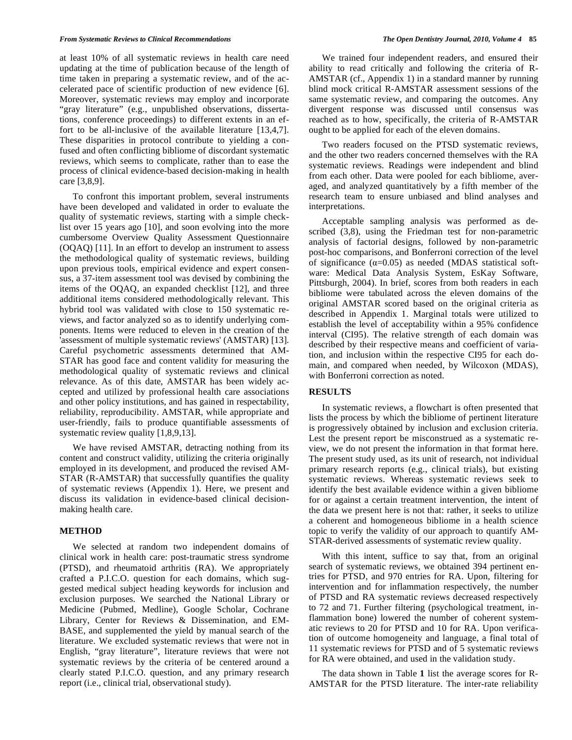at least 10% of all systematic reviews in health care need updating at the time of publication because of the length of time taken in preparing a systematic review, and of the accelerated pace of scientific production of new evidence [6]. Moreover, systematic reviews may employ and incorporate "gray literature" (e.g., unpublished observations, dissertations, conference proceedings) to different extents in an effort to be all-inclusive of the available literature [13,4,7]. These disparities in protocol contribute to yielding a confused and often conflicting bibliome of discordant systematic reviews, which seems to complicate, rather than to ease the process of clinical evidence-based decision-making in health care [3,8,9].

To confront this important problem, several instruments have been developed and validated in order to evaluate the quality of systematic reviews, starting with a simple checklist over 15 years ago [10], and soon evolving into the more cumbersome Overview Quality Assessment Questionnaire (OQAQ) [11]. In an effort to develop an instrument to assess the methodological quality of systematic reviews, building upon previous tools, empirical evidence and expert consensus, a 37-item assessment tool was devised by combining the items of the OQAQ, an expanded checklist [12], and three additional items considered methodologically relevant. This hybrid tool was validated with close to 150 systematic reviews, and factor analyzed so as to identify underlying components. Items were reduced to eleven in the creation of the 'assessment of multiple systematic reviews' (AMSTAR) [13]. Careful psychometric assessments determined that AM-STAR has good face and content validity for measuring the methodological quality of systematic reviews and clinical relevance. As of this date, AMSTAR has been widely accepted and utilized by professional health care associations and other policy institutions, and has gained in respectability, reliability, reproducibility. AMSTAR, while appropriate and user-friendly, fails to produce quantifiable assessments of systematic review quality [1,8,9,13].

We have revised AMSTAR, detracting nothing from its content and construct validity, utilizing the criteria originally employed in its development, and produced the revised AM-STAR (R-AMSTAR) that successfully quantifies the quality of systematic reviews (Appendix 1). Here, we present and discuss its validation in evidence-based clinical decisionmaking health care.

#### **METHOD**

We selected at random two independent domains of clinical work in health care: post-traumatic stress syndrome (PTSD), and rheumatoid arthritis (RA). We appropriately crafted a P.I.C.O. question for each domains, which suggested medical subject heading keywords for inclusion and exclusion purposes. We searched the National Library or Medicine (Pubmed, Medline), Google Scholar, Cochrane Library, Center for Reviews & Dissemination, and EM-BASE, and supplemented the yield by manual search of the literature. We excluded systematic reviews that were not in English, "gray literature", literature reviews that were not systematic reviews by the criteria of be centered around a clearly stated P.I.C.O. question, and any primary research report (i.e., clinical trial, observational study).

We trained four independent readers, and ensured their ability to read critically and following the criteria of R-AMSTAR (cf., Appendix 1) in a standard manner by running blind mock critical R-AMSTAR assessment sessions of the same systematic review, and comparing the outcomes. Any divergent response was discussed until consensus was reached as to how, specifically, the criteria of R-AMSTAR ought to be applied for each of the eleven domains.

Two readers focused on the PTSD systematic reviews, and the other two readers concerned themselves with the RA systematic reviews. Readings were independent and blind from each other. Data were pooled for each bibliome, averaged, and analyzed quantitatively by a fifth member of the research team to ensure unbiased and blind analyses and interpretations.

Acceptable sampling analysis was performed as described (3,8), using the Friedman test for non-parametric analysis of factorial designs, followed by non-parametric post-hoc comparisons, and Bonferroni correction of the level of significance  $(\alpha=0.05)$  as needed (MDAS statistical software: Medical Data Analysis System, EsKay Software, Pittsburgh, 2004). In brief, scores from both readers in each bibliome were tabulated across the eleven domains of the original AMSTAR scored based on the original criteria as described in Appendix 1. Marginal totals were utilized to establish the level of acceptability within a 95% confidence interval (CI95). The relative strength of each domain was described by their respective means and coefficient of variation, and inclusion within the respective CI95 for each domain, and compared when needed, by Wilcoxon (MDAS), with Bonferroni correction as noted.

### **RESULTS**

In systematic reviews, a flowchart is often presented that lists the process by which the bibliome of pertinent literature is progressively obtained by inclusion and exclusion criteria. Lest the present report be misconstrued as a systematic review, we do not present the information in that format here. The present study used, as its unit of research, not individual primary research reports (e.g., clinical trials), but existing systematic reviews. Whereas systematic reviews seek to identify the best available evidence within a given bibliome for or against a certain treatment intervention, the intent of the data we present here is not that: rather, it seeks to utilize a coherent and homogeneous bibliome in a health science topic to verify the validity of our approach to quantify AM-STAR-derived assessments of systematic review quality.

With this intent, suffice to say that, from an original search of systematic reviews, we obtained 394 pertinent entries for PTSD, and 970 entries for RA. Upon, filtering for intervention and for inflammation respectively, the number of PTSD and RA systematic reviews decreased respectively to 72 and 71. Further filtering (psychological treatment, inflammation bone) lowered the number of coherent systematic reviews to 20 for PTSD and 10 for RA. Upon verification of outcome homogeneity and language, a final total of 11 systematic reviews for PTSD and of 5 systematic reviews for RA were obtained, and used in the validation study.

The data shown in Table **1** list the average scores for R-AMSTAR for the PTSD literature. The inter-rate reliability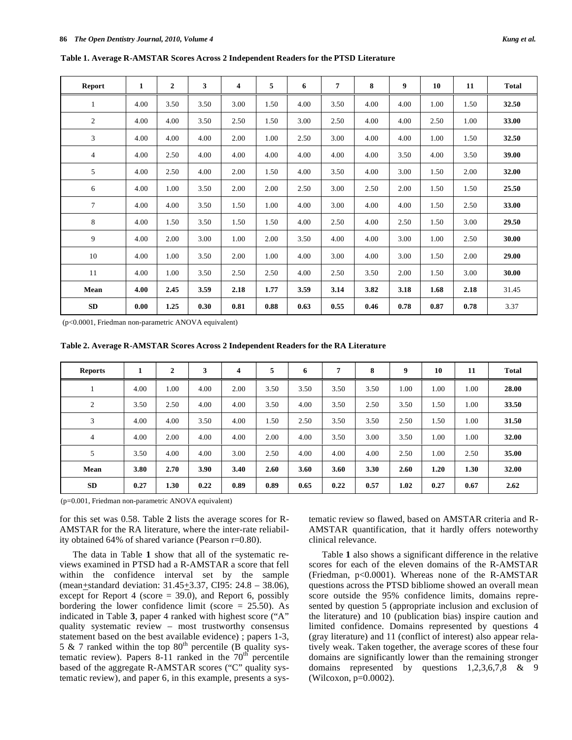| <b>Report</b>  | $\mathbf{1}$ | $\boldsymbol{2}$ | 3    | 4    | 5    | 6    | 7    | 8    | 9    | 10   | 11   | Total |
|----------------|--------------|------------------|------|------|------|------|------|------|------|------|------|-------|
| 1              | 4.00         | 3.50             | 3.50 | 3.00 | 1.50 | 4.00 | 3.50 | 4.00 | 4.00 | 1.00 | 1.50 | 32.50 |
| $\overline{c}$ | 4.00         | 4.00             | 3.50 | 2.50 | 1.50 | 3.00 | 2.50 | 4.00 | 4.00 | 2.50 | 1.00 | 33.00 |
| 3              | 4.00         | 4.00             | 4.00 | 2.00 | 1.00 | 2.50 | 3.00 | 4.00 | 4.00 | 1.00 | 1.50 | 32.50 |
| 4              | 4.00         | 2.50             | 4.00 | 4.00 | 4.00 | 4.00 | 4.00 | 4.00 | 3.50 | 4.00 | 3.50 | 39.00 |
| 5              | 4.00         | 2.50             | 4.00 | 2.00 | 1.50 | 4.00 | 3.50 | 4.00 | 3.00 | 1.50 | 2.00 | 32.00 |
| 6              | 4.00         | 1.00             | 3.50 | 2.00 | 2.00 | 2.50 | 3.00 | 2.50 | 2.00 | 1.50 | 1.50 | 25.50 |
| $\overline{7}$ | 4.00         | 4.00             | 3.50 | 1.50 | 1.00 | 4.00 | 3.00 | 4.00 | 4.00 | 1.50 | 2.50 | 33.00 |
| 8              | 4.00         | 1.50             | 3.50 | 1.50 | 1.50 | 4.00 | 2.50 | 4.00 | 2.50 | 1.50 | 3.00 | 29.50 |
| 9              | 4.00         | 2.00             | 3.00 | 1.00 | 2.00 | 3.50 | 4.00 | 4.00 | 3.00 | 1.00 | 2.50 | 30.00 |
| 10             | 4.00         | 1.00             | 3.50 | 2.00 | 1.00 | 4.00 | 3.00 | 4.00 | 3.00 | 1.50 | 2.00 | 29.00 |
| 11             | 4.00         | 1.00             | 3.50 | 2.50 | 2.50 | 4.00 | 2.50 | 3.50 | 2.00 | 1.50 | 3.00 | 30.00 |
| Mean           | 4.00         | 2.45             | 3.59 | 2.18 | 1.77 | 3.59 | 3.14 | 3.82 | 3.18 | 1.68 | 2.18 | 31.45 |
| SD             | 0.00         | 1.25             | 0.30 | 0.81 | 0.88 | 0.63 | 0.55 | 0.46 | 0.78 | 0.87 | 0.78 | 3.37  |

**Table 1. Average R-AMSTAR Scores Across 2 Independent Readers for the PTSD Literature** 

(p<0.0001, Friedman non-parametric ANOVA equivalent)

**Table 2. Average R-AMSTAR Scores Across 2 Independent Readers for the RA Literature** 

| <b>Reports</b> | 1    | $\overline{2}$ | 3    | 4    | 5    | 6    | 7    | 8    | 9    | 10   | 11   | <b>Total</b> |
|----------------|------|----------------|------|------|------|------|------|------|------|------|------|--------------|
|                | 4.00 | 1.00           | 4.00 | 2.00 | 3.50 | 3.50 | 3.50 | 3.50 | 1.00 | 1.00 | 1.00 | 28.00        |
| $\overline{2}$ | 3.50 | 2.50           | 4.00 | 4.00 | 3.50 | 4.00 | 3.50 | 2.50 | 3.50 | 1.50 | 1.00 | 33.50        |
| 3              | 4.00 | 4.00           | 3.50 | 4.00 | 1.50 | 2.50 | 3.50 | 3.50 | 2.50 | 1.50 | 1.00 | 31.50        |
| 4              | 4.00 | 2.00           | 4.00 | 4.00 | 2.00 | 4.00 | 3.50 | 3.00 | 3.50 | 1.00 | 1.00 | 32.00        |
| 5              | 3.50 | 4.00           | 4.00 | 3.00 | 2.50 | 4.00 | 4.00 | 4.00 | 2.50 | 1.00 | 2.50 | 35.00        |
| Mean           | 3.80 | 2.70           | 3.90 | 3.40 | 2.60 | 3.60 | 3.60 | 3.30 | 2.60 | 1.20 | 1.30 | 32.00        |
| <b>SD</b>      | 0.27 | 1.30           | 0.22 | 0.89 | 0.89 | 0.65 | 0.22 | 0.57 | 1.02 | 0.27 | 0.67 | 2.62         |

(p=0.001, Friedman non-parametric ANOVA equivalent)

for this set was 0.58. Table **2** lists the average scores for R-AMSTAR for the RA literature, where the inter-rate reliability obtained 64% of shared variance (Pearson r=0.80).

The data in Table **1** show that all of the systematic reviews examined in PTSD had a R-AMSTAR a score that fell within the confidence interval set by the sample (mean+standard deviation: 31.45+3.37, CI95: 24.8 – 38.06), except for Report 4 (score  $=$  39.0), and Report 6, possibly bordering the lower confidence limit (score  $= 25.50$ ). As indicated in Table **3**, paper 4 ranked with highest score ("A" quality systematic review – most trustworthy consensus statement based on the best available evidence) ; papers 1-3, 5 & 7 ranked within the top  $80<sup>th</sup>$  percentile (B quality systematic review). Papers 8-11 ranked in the  $70<sup>th</sup>$  percentile based of the aggregate R-AMSTAR scores ("C" quality systematic review), and paper 6, in this example, presents a systematic review so flawed, based on AMSTAR criteria and R-AMSTAR quantification, that it hardly offers noteworthy clinical relevance.

Table **1** also shows a significant difference in the relative scores for each of the eleven domains of the R-AMSTAR (Friedman, p<0.0001). Whereas none of the R-AMSTAR questions across the PTSD bibliome showed an overall mean score outside the 95% confidence limits, domains represented by question 5 (appropriate inclusion and exclusion of the literature) and 10 (publication bias) inspire caution and limited confidence. Domains represented by questions 4 (gray literature) and 11 (conflict of interest) also appear relatively weak. Taken together, the average scores of these four domains are significantly lower than the remaining stronger domains represented by questions 1,2,3,6,7,8 & 9 (Wilcoxon, p=0.0002).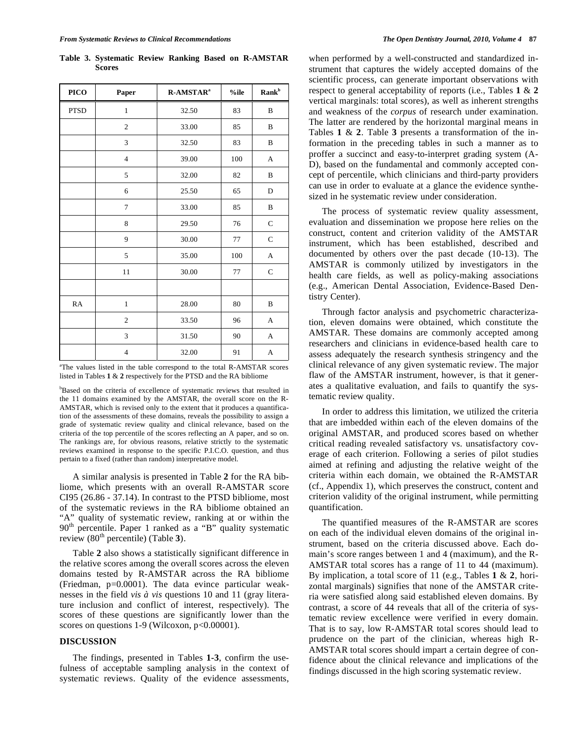**Table 3. Systematic Review Ranking Based on R-AMSTAR Scores** 

| PICO        | Paper          | R-AMSTAR <sup>a</sup> | %ile | $Rank^b$     |
|-------------|----------------|-----------------------|------|--------------|
| <b>PTSD</b> | 1              | 32.50                 | 83   | B            |
|             | $\overline{c}$ | 33.00                 | 85   | B            |
|             | 3              | 32.50                 | 83   | B            |
|             | $\overline{4}$ | 39.00                 | 100  | A            |
|             | 5              | 32.00                 | 82   | $\, {\bf B}$ |
|             | 6              | 25.50                 | 65   | D            |
|             | 7              | 33.00                 | 85   | B            |
|             | $\,$ 8 $\,$    | 29.50                 | 76   | $\mathbf C$  |
|             | 9              | 30.00                 | 77   | $\mathbf C$  |
|             | 5              | 35.00                 | 100  | A            |
|             | 11             | 30.00                 | 77   | $\mathbf C$  |
|             |                |                       |      |              |
| RA          | $\,1$          | 28.00                 | 80   | B            |
|             | $\overline{c}$ | 33.50                 | 96   | A            |
|             | 3              | 31.50                 | 90   | A            |
|             | $\overline{4}$ | 32.00                 | 91   | A            |

<sup>a</sup>The values listed in the table correspond to the total R-AMSTAR scores listed in Tables **1** & **2** respectively for the PTSD and the RA bibliome

<sup>b</sup>Based on the criteria of excellence of systematic reviews that resulted in the 11 domains examined by the AMSTAR, the overall score on the R-AMSTAR, which is revised only to the extent that it produces a quantification of the assessments of these domains, reveals the possibility to assign a grade of systematic review quality and clinical relevance, based on the criteria of the top percentile of the scores reflecting an A paper, and so on. The rankings are, for obvious reasons, relative strictly to the systematic reviews examined in response to the specific P.I.C.O. question, and thus pertain to a fixed (rather than random) interpretative model.

A similar analysis is presented in Table **2** for the RA bibliome, which presents with an overall R-AMSTAR score CI95 (26.86 - 37.14). In contrast to the PTSD bibliome, most of the systematic reviews in the RA bibliome obtained an "A" quality of systematic review, ranking at or within the 90<sup>th</sup> percentile. Paper 1 ranked as a "B" quality systematic review (80<sup>th</sup> percentile) (Table 3).

Table **2** also shows a statistically significant difference in the relative scores among the overall scores across the eleven domains tested by R-AMSTAR across the RA bibliome (Friedman, p=0.0001). The data evince particular weaknesses in the field *vis à vis* questions 10 and 11 (gray literature inclusion and conflict of interest, respectively). The scores of these questions are significantly lower than the scores on questions 1-9 (Wilcoxon, p<0.00001).

### **DISCUSSION**

The findings, presented in Tables **1-3**, confirm the usefulness of acceptable sampling analysis in the context of systematic reviews. Quality of the evidence assessments,

when performed by a well-constructed and standardized instrument that captures the widely accepted domains of the scientific process, can generate important observations with respect to general acceptability of reports (i.e., Tables **1** & **2** vertical marginals: total scores), as well as inherent strengths and weakness of the *corpus* of research under examination. The latter are rendered by the horizontal marginal means in Tables **1** & **2**. Table **3** presents a transformation of the information in the preceding tables in such a manner as to proffer a succinct and easy-to-interpret grading system (A-D), based on the fundamental and commonly accepted concept of percentile, which clinicians and third-party providers can use in order to evaluate at a glance the evidence synthesized in he systematic review under consideration.

The process of systematic review quality assessment, evaluation and dissemination we propose here relies on the construct, content and criterion validity of the AMSTAR instrument, which has been established, described and documented by others over the past decade (10-13). The AMSTAR is commonly utilized by investigators in the health care fields, as well as policy-making associations (e.g., American Dental Association, Evidence-Based Dentistry Center).

Through factor analysis and psychometric characterization, eleven domains were obtained, which constitute the AMSTAR. These domains are commonly accepted among researchers and clinicians in evidence-based health care to assess adequately the research synthesis stringency and the clinical relevance of any given systematic review. The major flaw of the AMSTAR instrument, however, is that it generates a qualitative evaluation, and fails to quantify the systematic review quality.

In order to address this limitation, we utilized the criteria that are imbedded within each of the eleven domains of the original AMSTAR, and produced scores based on whether critical reading revealed satisfactory vs. unsatisfactory coverage of each criterion. Following a series of pilot studies aimed at refining and adjusting the relative weight of the criteria within each domain, we obtained the R-AMSTAR (cf., Appendix 1), which preserves the construct, content and criterion validity of the original instrument, while permitting quantification.

The quantified measures of the R-AMSTAR are scores on each of the individual eleven domains of the original instrument, based on the criteria discussed above. Each domain's score ranges between 1 and 4 (maximum), and the R-AMSTAR total scores has a range of 11 to 44 (maximum). By implication, a total score of 11 (e.g., Tables **1** & **2**, horizontal marginals) signifies that none of the AMSTAR criteria were satisfied along said established eleven domains. By contrast, a score of 44 reveals that all of the criteria of systematic review excellence were verified in every domain. That is to say, low R-AMSTAR total scores should lead to prudence on the part of the clinician, whereas high R-AMSTAR total scores should impart a certain degree of confidence about the clinical relevance and implications of the findings discussed in the high scoring systematic review.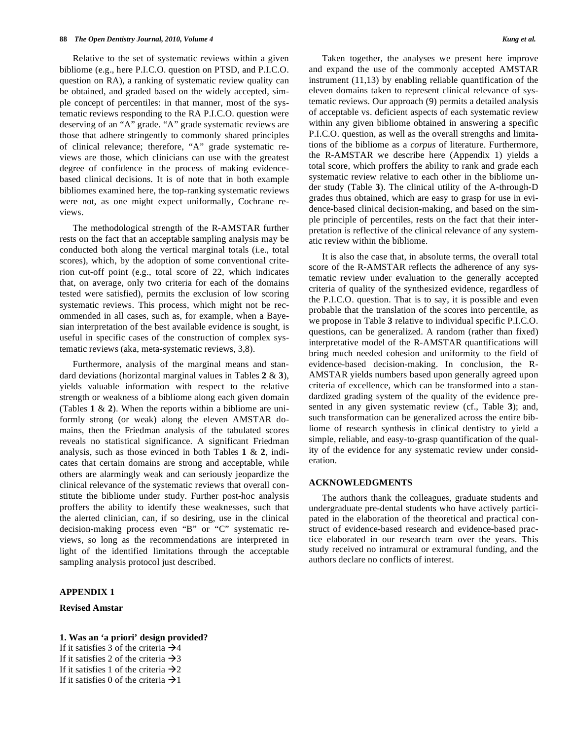Relative to the set of systematic reviews within a given bibliome (e.g., here P.I.C.O. question on PTSD, and P.I.C.O. question on RA), a ranking of systematic review quality can be obtained, and graded based on the widely accepted, simple concept of percentiles: in that manner, most of the systematic reviews responding to the RA P.I.C.O. question were deserving of an "A" grade. "A" grade systematic reviews are those that adhere stringently to commonly shared principles of clinical relevance; therefore, "A" grade systematic reviews are those, which clinicians can use with the greatest degree of confidence in the process of making evidencebased clinical decisions. It is of note that in both example bibliomes examined here, the top-ranking systematic reviews were not, as one might expect uniformally, Cochrane reviews.

The methodological strength of the R-AMSTAR further rests on the fact that an acceptable sampling analysis may be conducted both along the vertical marginal totals (i.e., total scores), which, by the adoption of some conventional criterion cut-off point (e.g., total score of 22, which indicates that, on average, only two criteria for each of the domains tested were satisfied), permits the exclusion of low scoring systematic reviews. This process, which might not be recommended in all cases, such as, for example, when a Bayesian interpretation of the best available evidence is sought, is useful in specific cases of the construction of complex systematic reviews (aka, meta-systematic reviews, 3,8).

Furthermore, analysis of the marginal means and standard deviations (horizontal marginal values in Tables **2** & **3**), yields valuable information with respect to the relative strength or weakness of a bibliome along each given domain (Tables **1** & **2**). When the reports within a bibliome are uniformly strong (or weak) along the eleven AMSTAR domains, then the Friedman analysis of the tabulated scores reveals no statistical significance. A significant Friedman analysis, such as those evinced in both Tables **1** & **2**, indicates that certain domains are strong and acceptable, while others are alarmingly weak and can seriously jeopardize the clinical relevance of the systematic reviews that overall constitute the bibliome under study. Further post-hoc analysis proffers the ability to identify these weaknesses, such that the alerted clinician, can, if so desiring, use in the clinical decision-making process even "B" or "C" systematic reviews, so long as the recommendations are interpreted in light of the identified limitations through the acceptable sampling analysis protocol just described.

### **APPENDIX 1**

### **Revised Amstar**

### **1. Was an 'a priori' design provided?**

If it satisfies 3 of the criteria  $\rightarrow$ If it satisfies 2 of the criteria  $\rightarrow$ If it satisfies 1 of the criteria  $\rightarrow 2$ If it satisfies 0 of the criteria  $\rightarrow$ 

Taken together, the analyses we present here improve and expand the use of the commonly accepted AMSTAR instrument (11,13) by enabling reliable quantification of the eleven domains taken to represent clinical relevance of systematic reviews. Our approach (9) permits a detailed analysis of acceptable vs. deficient aspects of each systematic review within any given bibliome obtained in answering a specific P.I.C.O. question, as well as the overall strengths and limitations of the bibliome as a *corpus* of literature. Furthermore, the R-AMSTAR we describe here (Appendix 1) yields a total score, which proffers the ability to rank and grade each systematic review relative to each other in the bibliome under study (Table **3**). The clinical utility of the A-through-D grades thus obtained, which are easy to grasp for use in evidence-based clinical decision-making, and based on the simple principle of percentiles, rests on the fact that their interpretation is reflective of the clinical relevance of any systematic review within the bibliome.

It is also the case that, in absolute terms, the overall total score of the R-AMSTAR reflects the adherence of any systematic review under evaluation to the generally accepted criteria of quality of the synthesized evidence, regardless of the P.I.C.O. question. That is to say, it is possible and even probable that the translation of the scores into percentile, as we propose in Table **3** relative to individual specific P.I.C.O. questions, can be generalized. A random (rather than fixed) interpretative model of the R-AMSTAR quantifications will bring much needed cohesion and uniformity to the field of evidence-based decision-making. In conclusion, the R-AMSTAR yields numbers based upon generally agreed upon criteria of excellence, which can be transformed into a standardized grading system of the quality of the evidence presented in any given systematic review (cf., Table **3**); and, such transformation can be generalized across the entire bibliome of research synthesis in clinical dentistry to yield a simple, reliable, and easy-to-grasp quantification of the quality of the evidence for any systematic review under consideration.

### **ACKNOWLEDGMENTS**

The authors thank the colleagues, graduate students and undergraduate pre-dental students who have actively participated in the elaboration of the theoretical and practical construct of evidence-based research and evidence-based practice elaborated in our research team over the years. This study received no intramural or extramural funding, and the authors declare no conflicts of interest.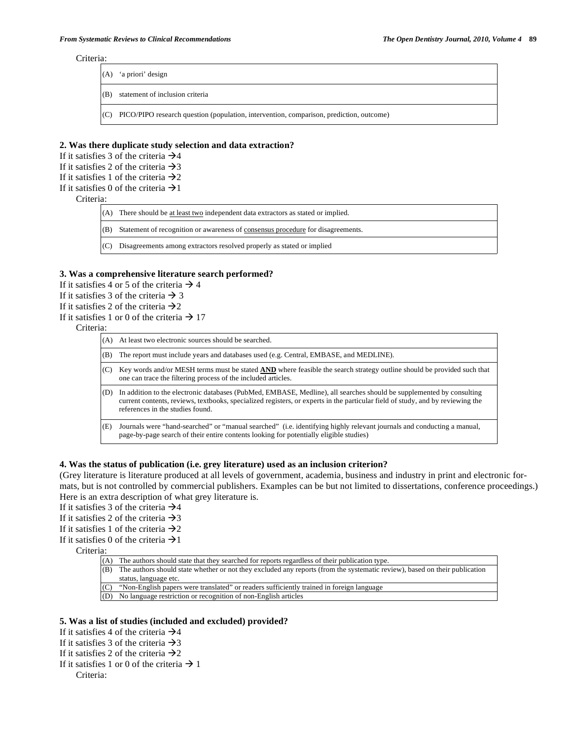#### Criteria:

| (A)         | 'a priori' design                                                                           |
|-------------|---------------------------------------------------------------------------------------------|
| $\vert$ (B) | statement of inclusion criteria                                                             |
|             | (C) PICO/PIPO research question (population, intervention, comparison, prediction, outcome) |

#### **2. Was there duplicate study selection and data extraction?**

If it satisfies 3 of the criteria  $\rightarrow$  4

If it satisfies 2 of the criteria  $\rightarrow$ 3

If it satisfies 1 of the criteria  $\rightarrow 2$ 

### If it satisfies 0 of the criteria  $\rightarrow$ 1

Criteria:

|     | $(A)$ There should be at least two independent data extractors as stated or implied. |
|-----|--------------------------------------------------------------------------------------|
| (B) | Statement of recognition or awareness of consensus procedure for disagreements.      |
| (C) | Disagreements among extractors resolved properly as stated or implied                |

### **3. Was a comprehensive literature search performed?**

- If it satisfies 4 or 5 of the criteria  $\rightarrow$  4
- If it satisfies 3 of the criteria  $\rightarrow$  3
- If it satisfies 2 of the criteria  $\rightarrow$  2
- If it satisfies 1 or 0 of the criteria  $\rightarrow$  17

#### Criteria:

| (A) | At least two electronic sources should be searched.                                                                                                                                                                                                                                        |
|-----|--------------------------------------------------------------------------------------------------------------------------------------------------------------------------------------------------------------------------------------------------------------------------------------------|
| (B) | The report must include years and databases used (e.g. Central, EMBASE, and MEDLINE).                                                                                                                                                                                                      |
| (C) | Key words and/or MESH terms must be stated AND where feasible the search strategy outline should be provided such that<br>one can trace the filtering process of the included articles.                                                                                                    |
| (D) | In addition to the electronic databases (PubMed, EMBASE, Medline), all searches should be supplemented by consulting<br>current contents, reviews, textbooks, specialized registers, or experts in the particular field of study, and by reviewing the<br>references in the studies found. |
| (E) | Journals were "hand-searched" or "manual searched" (i.e. identifying highly relevant journals and conducting a manual,<br>page-by-page search of their entire contents looking for potentially eligible studies)                                                                           |

### **4. Was the status of publication (i.e. grey literature) used as an inclusion criterion?**

(Grey literature is literature produced at all levels of government, academia, business and industry in print and electronic formats, but is not controlled by commercial publishers. Examples can be but not limited to dissertations, conference proceedings.) Here is an extra description of what grey literature is.

If it satisfies 3 of the criteria  $\rightarrow$ 4

If it satisfies 2 of the criteria  $\rightarrow$ 3

If it satisfies 1 of the criteria  $\rightarrow 2$ 

If it satisfies 0 of the criteria  $\rightarrow$ 1

Criteria:

(A) The authors should state that they searched for reports regardless of their publication type. (B) The authors should state whether or not they excluded any reports (from the systematic review), based on their publication

- status, language etc.
- (C) "Non-English papers were translated" or readers sufficiently trained in foreign language

(D) No language restriction or recognition of non-English articles

### **5. Was a list of studies (included and excluded) provided?**

If it satisfies 4 of the criteria  $\rightarrow$ 4

If it satisfies 3 of the criteria  $\rightarrow$ 3

- If it satisfies 2 of the criteria  $\rightarrow$  2
- If it satisfies 1 or 0 of the criteria  $\rightarrow$  1

Criteria: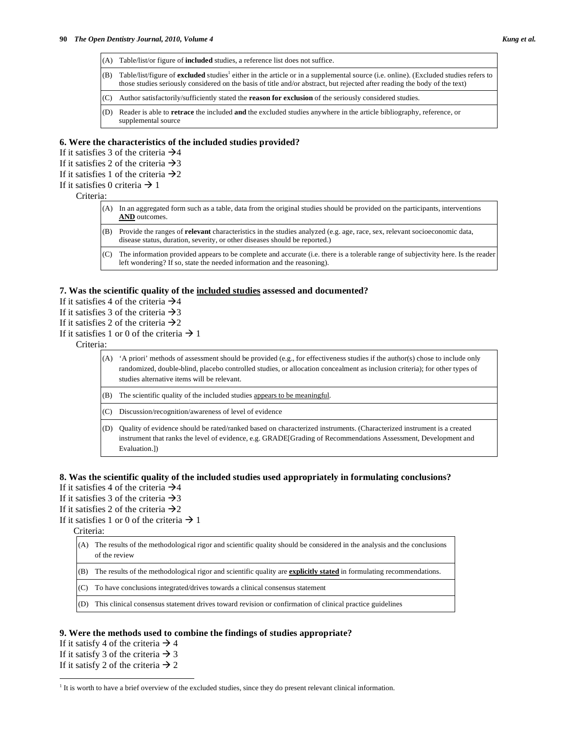- (A) Table/list/or figure of **included** studies, a reference list does not suffice.
- (B) Table/list/figure of excluded studies<sup>1</sup> either in the article or in a supplemental source (i.e. online). (Excluded studies refers to those studies seriously considered on the basis of title and/or abstract, but rejected after reading the body of the text)
- (C) Author satisfactorily/sufficiently stated the **reason for exclusion** of the seriously considered studies.
- (D) Reader is able to **retrace** the included **and** the excluded studies anywhere in the article bibliography, reference, or supplemental source

#### **6. Were the characteristics of the included studies provided?**

- If it satisfies 3 of the criteria  $\rightarrow$  4
- If it satisfies 2 of the criteria  $\rightarrow$ 3
- If it satisfies 1 of the criteria  $\rightarrow 2$
- If it satisfies 0 criteria  $\rightarrow$  1

#### Criteria:

- (A) In an aggregated form such as a table, data from the original studies should be provided on the participants, interventions **AND** outcomes.
- (B) Provide the ranges of **relevant** characteristics in the studies analyzed (e.g. age, race, sex, relevant socioeconomic data, disease status, duration, severity, or other diseases should be reported.)
- (C) The information provided appears to be complete and accurate (i.e. there is a tolerable range of subjectivity here. Is the reader left wondering? If so, state the needed information and the reasoning).

#### **7. Was the scientific quality of the included studies assessed and documented?**

- If it satisfies 4 of the criteria  $\rightarrow$  4
- If it satisfies 3 of the criteria  $\rightarrow$ 3
- If it satisfies 2 of the criteria  $\rightarrow 2$
- If it satisfies 1 or 0 of the criteria  $\rightarrow$  1

Criteria:

- (A) 'A priori' methods of assessment should be provided (e.g., for effectiveness studies if the author(s) chose to include only randomized, double-blind, placebo controlled studies, or allocation concealment as inclusion criteria); for other types of studies alternative items will be relevant.
- (B) The scientific quality of the included studies appears to be meaningful.
- (C) Discussion/recognition/awareness of level of evidence
- (D) Quality of evidence should be rated/ranked based on characterized instruments. (Characterized instrument is a created instrument that ranks the level of evidence, e.g. GRADE[Grading of Recommendations Assessment, Development and Evaluation.])

## **8. Was the scientific quality of the included studies used appropriately in formulating conclusions?**

- If it satisfies 4 of the criteria  $\rightarrow$  4
- If it satisfies 3 of the criteria  $\rightarrow$ 3
- If it satisfies 2 of the criteria  $\rightarrow 2$
- If it satisfies 1 or 0 of the criteria  $\rightarrow$  1
	- Criteria:
		- (A) The results of the methodological rigor and scientific quality should be considered in the analysis and the conclusions of the review
		- (B) The results of the methodological rigor and scientific quality are **explicitly stated** in formulating recommendations.
		- (C) To have conclusions integrated/drives towards a clinical consensus statement
		- (D) This clinical consensus statement drives toward revision or confirmation of clinical practice guidelines

### **9. Were the methods used to combine the findings of studies appropriate?**

If it satisfy 4 of the criteria  $\rightarrow$  4 If it satisfy 3 of the criteria  $\rightarrow$  3

If it satisfy 2 of the criteria  $\rightarrow$  2

 $\overline{a}$ <sup>1</sup> It is worth to have a brief overview of the excluded studies, since they do present relevant clinical information.